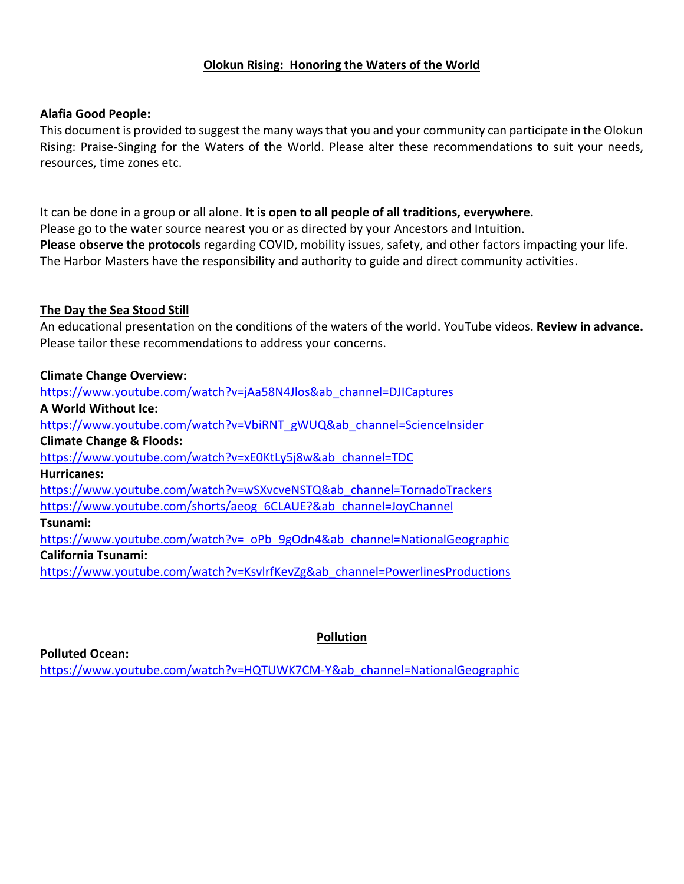## **Olokun Rising: Honoring the Waters of the World**

## **Alafia Good People:**

This document is provided to suggest the many ways that you and your community can participate in the Olokun Rising: Praise-Singing for the Waters of the World. Please alter these recommendations to suit your needs, resources, time zones etc.

It can be done in a group or all alone. **It is open to all people of all traditions, everywhere.** Please go to the water source nearest you or as directed by your Ancestors and Intuition. **Please observe the protocols** regarding COVID, mobility issues, safety, and other factors impacting your life. The Harbor Masters have the responsibility and authority to guide and direct community activities.

# **The Day the Sea Stood Still**

An educational presentation on the conditions of the waters of the world. YouTube videos. **Review in advance.** Please tailor these recommendations to address your concerns.

# **Climate Change Overview:**

[https://www.youtube.com/watch?v=jAa58N4Jlos&ab\\_channel=DJICaptures](https://www.youtube.com/watch?v=jAa58N4Jlos&ab_channel=DJICaptures) **A World Without Ice:** [https://www.youtube.com/watch?v=VbiRNT\\_gWUQ&ab\\_channel=ScienceInsider](https://www.youtube.com/watch?v=VbiRNT_gWUQ&ab_channel=ScienceInsider) **Climate Change & Floods:** [https://www.youtube.com/watch?v=xE0KtLy5j8w&ab\\_channel=TDC](https://www.youtube.com/watch?v=xE0KtLy5j8w&ab_channel=TDC) **Hurricanes:** [https://www.youtube.com/watch?v=wSXvcveNSTQ&ab\\_channel=TornadoTrackers](https://www.youtube.com/watch?v=wSXvcveNSTQ&ab_channel=TornadoTrackers) [https://www.youtube.com/shorts/aeog\\_6CLAUE?&ab\\_channel=JoyChannel](https://www.youtube.com/shorts/aeog_6CLAUE?&ab_channel=JoyChannel) **Tsunami:** [https://www.youtube.com/watch?v=\\_oPb\\_9gOdn4&ab\\_channel=NationalGeographic](https://www.youtube.com/watch?v=_oPb_9gOdn4&ab_channel=NationalGeographic) **California Tsunami:** [https://www.youtube.com/watch?v=KsvlrfKevZg&ab\\_channel=PowerlinesProductions](https://www.youtube.com/watch?v=KsvlrfKevZg&ab_channel=PowerlinesProductions)

**Polluted Ocean:**

# **Pollution**

[https://www.youtube.com/watch?v=HQTUWK7CM-Y&ab\\_channel=NationalGeographic](https://www.youtube.com/watch?v=HQTUWK7CM-Y&ab_channel=NationalGeographic)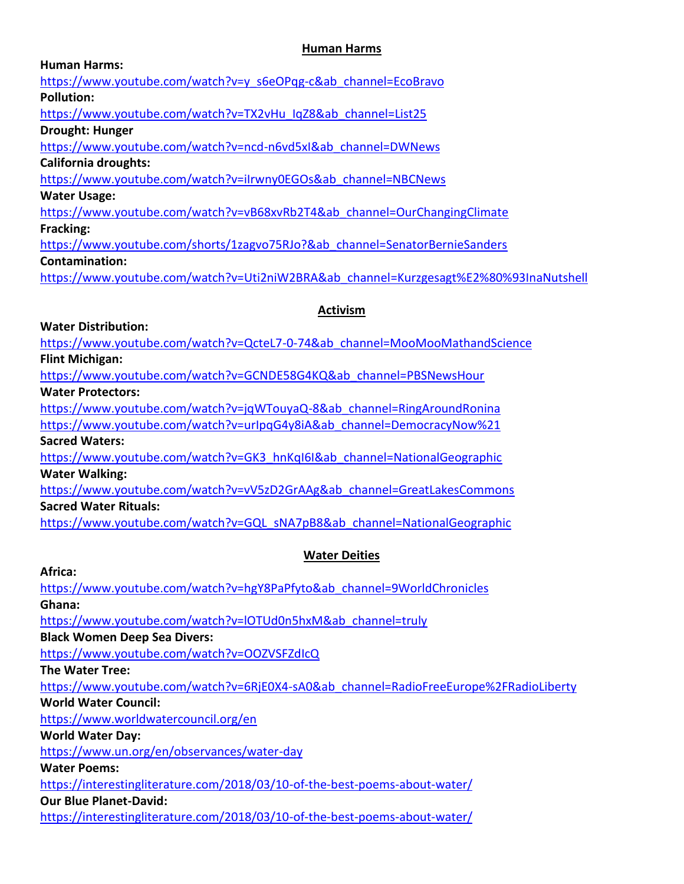# **Human Harms**

| <b>Human Harms:</b>                                                                   |
|---------------------------------------------------------------------------------------|
| https://www.youtube.com/watch?v=y s6eOPqg-c&ab channel=EcoBravo                       |
| <b>Pollution:</b>                                                                     |
| https://www.youtube.com/watch?v=TX2vHu IqZ8&ab channel=List25                         |
| <b>Drought: Hunger</b>                                                                |
| https://www.youtube.com/watch?v=ncd-n6vd5xI&ab channel=DWNews                         |
| <b>California droughts:</b>                                                           |
| https://www.youtube.com/watch?v=ilrwny0EGOs&ab channel=NBCNews                        |
| <b>Water Usage:</b>                                                                   |
| https://www.youtube.com/watch?v=vB68xvRb2T4&ab channel=OurChangingClimate             |
| Fracking:                                                                             |
| https://www.youtube.com/shorts/1zagvo75RJo?&ab channel=SenatorBernieSanders           |
| <b>Contamination:</b>                                                                 |
| https://www.youtube.com/watch?v=Uti2niW2BRA&ab channel=Kurzgesagt%E2%80%93InaNutshell |
|                                                                                       |
| <b>Activism</b>                                                                       |
| <b>Water Distribution:</b>                                                            |

[https://www.youtube.com/watch?v=QcteL7-0-74&ab\\_channel=MooMooMathandScience](https://www.youtube.com/watch?v=QcteL7-0-74&ab_channel=MooMooMathandScience) **Flint Michigan:**

[https://www.youtube.com/watch?v=GCNDE58G4KQ&ab\\_channel=PBSNewsHour](https://www.youtube.com/watch?v=GCNDE58G4KQ&ab_channel=PBSNewsHour)

**Water Protectors:**

[https://www.youtube.com/watch?v=jqWTouyaQ-8&ab\\_channel=RingAroundRonina](https://www.youtube.com/watch?v=jqWTouyaQ-8&ab_channel=RingAroundRonina)

https://www.youtube.com/watch?v=urlpqG4y8iA&ab\_channel=DemocracyNow%21 **Sacred Waters:**

[https://www.youtube.com/watch?v=GK3\\_hnKqI6I&ab\\_channel=NationalGeographic](https://www.youtube.com/watch?v=GK3_hnKqI6I&ab_channel=NationalGeographic) **Water Walking:**

[https://www.youtube.com/watch?v=vV5zD2GrAAg&ab\\_channel=GreatLakesCommons](https://www.youtube.com/watch?v=vV5zD2GrAAg&ab_channel=GreatLakesCommons) **Sacred Water Rituals:**

[https://www.youtube.com/watch?v=GQL\\_sNA7pB8&ab\\_channel=NationalGeographic](https://www.youtube.com/watch?v=GQL_sNA7pB8&ab_channel=NationalGeographic)

# **Water Deities**

**Africa:**

[https://www.youtube.com/watch?v=hgY8PaPfyto&ab\\_channel=9WorldChronicles](https://www.youtube.com/watch?v=hgY8PaPfyto&ab_channel=9WorldChronicles) **Ghana:**

[https://www.youtube.com/watch?v=lOTUd0n5hxM&ab\\_channel=truly](https://www.youtube.com/watch?v=lOTUd0n5hxM&ab_channel=truly)

**Black Women Deep Sea Divers:**

<https://www.youtube.com/watch?v=OOZVSFZdIcQ>

**The Water Tree:**

[https://www.youtube.com/watch?v=6RjE0X4-sA0&ab\\_channel=RadioFreeEurope%2FRadioLiberty](https://www.youtube.com/watch?v=6RjE0X4-sA0&ab_channel=RadioFreeEurope%2FRadioLiberty)

**World Water Council:** 

<https://www.worldwatercouncil.org/en>

**World Water Day:**

<https://www.un.org/en/observances/water-day>

**Water Poems:**

<https://interestingliterature.com/2018/03/10-of-the-best-poems-about-water/>

**Our Blue Planet-David:** 

<https://interestingliterature.com/2018/03/10-of-the-best-poems-about-water/>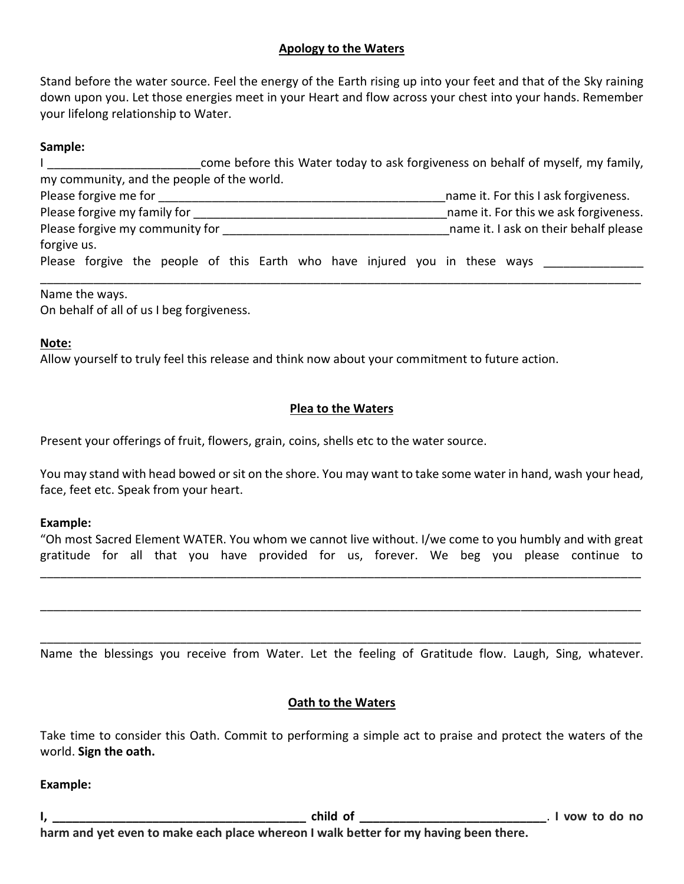# **Apology to the Waters**

Stand before the water source. Feel the energy of the Earth rising up into your feet and that of the Sky raining down upon you. Let those energies meet in your Heart and flow across your chest into your hands. Remember your lifelong relationship to Water.

#### **Sample:**

|                                            | come before this Water today to ask forgiveness on behalf of myself, my family, |                                       |  |  |
|--------------------------------------------|---------------------------------------------------------------------------------|---------------------------------------|--|--|
| my community, and the people of the world. |                                                                                 |                                       |  |  |
| Please forgive me for                      | name it. For this I ask forgiveness.                                            |                                       |  |  |
| Please forgive my family for               | name it. For this we ask forgiveness.                                           |                                       |  |  |
| Please forgive my community for            |                                                                                 | name it. I ask on their behalf please |  |  |
| forgive us.                                |                                                                                 |                                       |  |  |
|                                            | Please forgive the people of this Earth who have injured you in these ways      |                                       |  |  |

Name the ways.

On behalf of all of us I beg forgiveness.

## **Note:**

Allow yourself to truly feel this release and think now about your commitment to future action.

## **Plea to the Waters**

Present your offerings of fruit, flowers, grain, coins, shells etc to the water source.

You may stand with head bowed or sit on the shore. You may want to take some water in hand, wash your head, face, feet etc. Speak from your heart.

#### **Example:**

"Oh most Sacred Element WATER. You whom we cannot live without. I/we come to you humbly and with great gratitude for all that you have provided for us, forever. We beg you please continue to

\_\_\_\_\_\_\_\_\_\_\_\_\_\_\_\_\_\_\_\_\_\_\_\_\_\_\_\_\_\_\_\_\_\_\_\_\_\_\_\_\_\_\_\_\_\_\_\_\_\_\_\_\_\_\_\_\_\_\_\_\_\_\_\_\_\_\_\_\_\_\_\_\_\_\_\_\_\_\_\_\_\_\_\_\_\_\_\_\_\_

\_\_\_\_\_\_\_\_\_\_\_\_\_\_\_\_\_\_\_\_\_\_\_\_\_\_\_\_\_\_\_\_\_\_\_\_\_\_\_\_\_\_\_\_\_\_\_\_\_\_\_\_\_\_\_\_\_\_\_\_\_\_\_\_\_\_\_\_\_\_\_\_\_\_\_\_\_\_\_\_\_\_\_\_\_\_\_\_\_\_

\_\_\_\_\_\_\_\_\_\_\_\_\_\_\_\_\_\_\_\_\_\_\_\_\_\_\_\_\_\_\_\_\_\_\_\_\_\_\_\_\_\_\_\_\_\_\_\_\_\_\_\_\_\_\_\_\_\_\_\_\_\_\_\_\_\_\_\_\_\_\_\_\_\_\_\_\_\_\_\_\_\_\_\_\_\_\_\_\_\_ Name the blessings you receive from Water. Let the feeling of Gratitude flow. Laugh, Sing, whatever.

#### **Oath to the Waters**

Take time to consider this Oath. Commit to performing a simple act to praise and protect the waters of the world. **Sign the oath.**

#### **Example:**

**I, \_\_\_\_\_\_\_\_\_\_\_\_\_\_\_\_\_\_\_\_\_\_\_\_\_\_\_\_\_\_\_\_\_\_\_\_\_\_ child of \_\_\_\_\_\_\_\_\_\_\_\_\_\_\_\_\_\_\_\_\_\_\_\_\_\_\_\_**. **I vow to do no harm and yet even to make each place whereon I walk better for my having been there.**